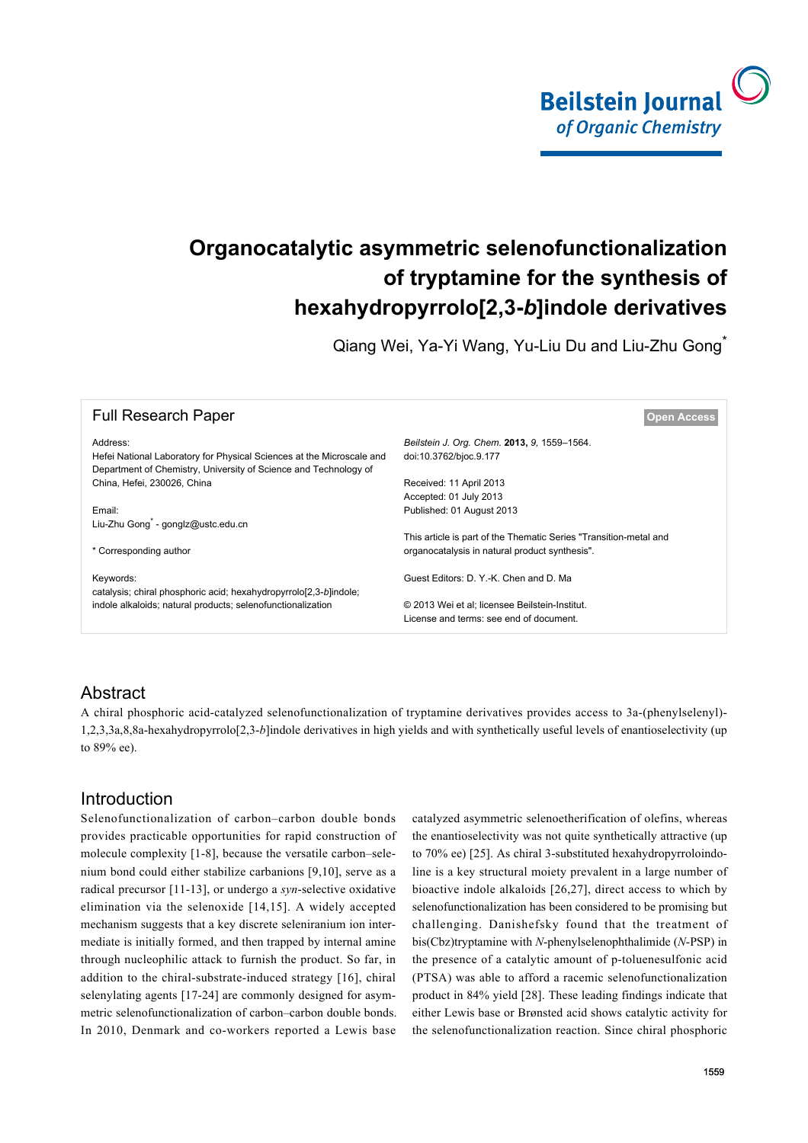

# **Organocatalytic asymmetric selenofunctionalization of tryptamine for the synthesis of hexahydropyrrolo[2,3-***b***]indole derivatives**

Qiang Wei, Ya-Yi Wang, Yu-Liu Du and Liu-Zhu Gong\*

| <b>Full Research Paper</b>                                            | <b>Open Access</b>                                                |
|-----------------------------------------------------------------------|-------------------------------------------------------------------|
| Address:                                                              | Beilstein J. Org. Chem. 2013, 9, 1559-1564.                       |
| Hefei National Laboratory for Physical Sciences at the Microscale and | doi:10.3762/bjoc.9.177                                            |
| Department of Chemistry, University of Science and Technology of      |                                                                   |
| China, Hefei, 230026, China                                           | Received: 11 April 2013                                           |
|                                                                       | Accepted: 01 July 2013                                            |
| Email:                                                                | Published: 01 August 2013                                         |
| Liu-Zhu Gong <sup>*</sup> - gonglz@ustc.edu.cn                        |                                                                   |
|                                                                       | This article is part of the Thematic Series "Transition-metal and |
| * Corresponding author                                                | organocatalysis in natural product synthesis".                    |
| Keywords:                                                             | Guest Editors: D. Y.-K. Chen and D. Ma                            |
| catalysis; chiral phosphoric acid; hexahydropyrrolo[2,3-b]indole;     |                                                                   |
| indole alkaloids; natural products; selenofunctionalization           | © 2013 Wei et al: licensee Beilstein-Institut.                    |
|                                                                       | License and terms: see end of document.                           |
|                                                                       |                                                                   |

### **Abstract**

A chiral phosphoric acid-catalyzed selenofunctionalization of tryptamine derivatives provides access to 3a-(phenylselenyl)- 1,2,3,3a,8,8a-hexahydropyrrolo[2,3-*b*]indole derivatives in high yields and with synthetically useful levels of enantioselectivity (up to 89% ee).

### Introduction

Selenofunctionalization of carbon–carbon double bonds provides practicable opportunities for rapid construction of molecule complexity [\[1-8\],](#page-4-0) because the versatile carbon–selenium bond could either stabilize carbanions [\[9,10\]](#page-4-1), serve as a radical precursor [\[11-13\]](#page-4-2), or undergo a *syn*-selective oxidative elimination via the selenoxide [\[14,15\]](#page-4-3). A widely accepted mechanism suggests that a key discrete seleniranium ion intermediate is initially formed, and then trapped by internal amine through nucleophilic attack to furnish the product. So far, in addition to the chiral-substrate-induced strategy [\[16\]](#page-4-4), chiral selenylating agents [\[17-24\]](#page-4-5) are commonly designed for asymmetric selenofunctionalization of carbon–carbon double bonds. In 2010, Denmark and co-workers reported a Lewis base

catalyzed asymmetric selenoetherification of olefins, whereas the enantioselectivity was not quite synthetically attractive (up to 70% ee) [\[25\].](#page-4-6) As chiral 3-substituted hexahydropyrroloindoline is a key structural moiety prevalent in a large number of bioactive indole alkaloids [\[26,27\],](#page-4-7) direct access to which by selenofunctionalization has been considered to be promising but challenging. Danishefsky found that the treatment of bis(Cbz)tryptamine with *N*-phenylselenophthalimide (*N*-PSP) in the presence of a catalytic amount of p-toluenesulfonic acid (PTSA) was able to afford a racemic selenofunctionalization product in 84% yield [\[28\]](#page-4-8). These leading findings indicate that either Lewis base or Brønsted acid shows catalytic activity for the selenofunctionalization reaction. Since chiral phosphoric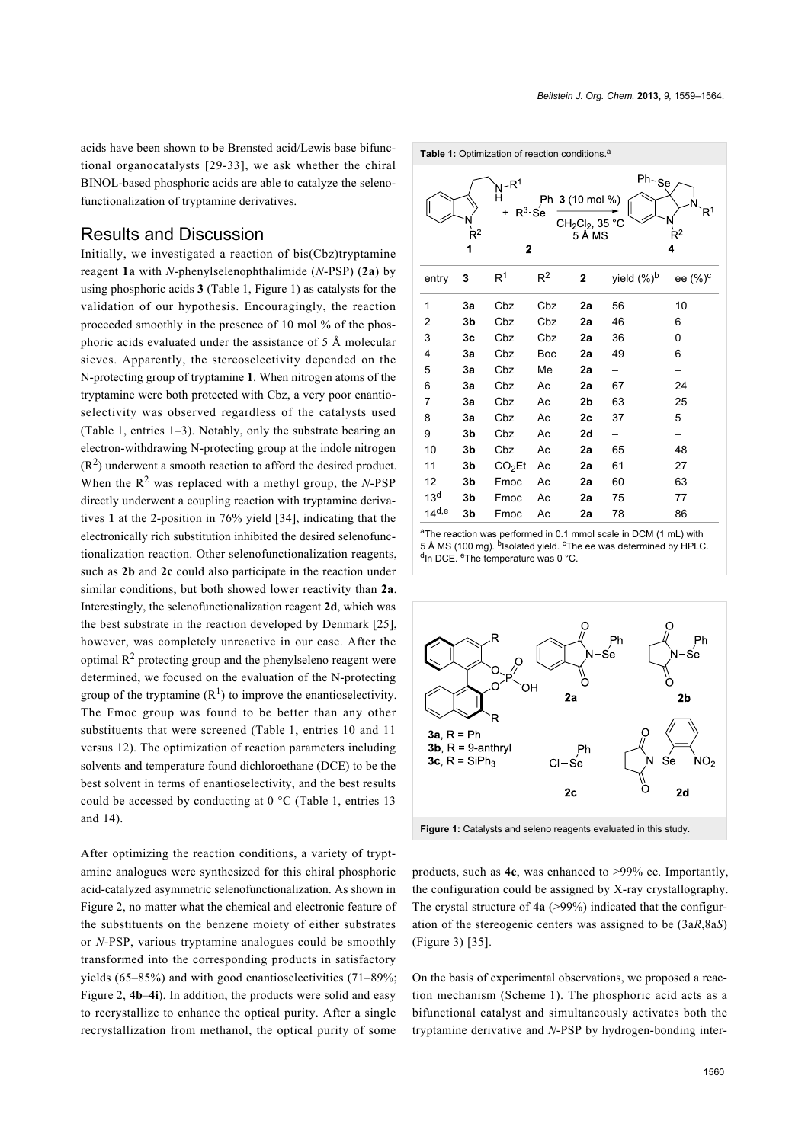acids have been shown to be Brønsted acid/Lewis base bifunctional organocatalysts [\[29-33\]](#page-4-9), we ask whether the chiral BINOL-based phosphoric acids are able to catalyze the selenofunctionalization of tryptamine derivatives.

#### Results and Discussion

Initially, we investigated a reaction of bis(Cbz)tryptamine reagent **1a** with *N*-phenylselenophthalimide (*N*-PSP) (**2a**) by using phosphoric acids **3** [\(Table 1,](#page-1-0) [Figure 1](#page-1-1)) as catalysts for the validation of our hypothesis. Encouragingly, the reaction proceeded smoothly in the presence of 10 mol % of the phosphoric acids evaluated under the assistance of 5 Å molecular sieves. Apparently, the stereoselectivity depended on the N-protecting group of tryptamine **1**. When nitrogen atoms of the tryptamine were both protected with Cbz, a very poor enantioselectivity was observed regardless of the catalysts used ([Table 1](#page-1-0), entries 1–3). Notably, only the substrate bearing an electron-withdrawing N-protecting group at the indole nitrogen  $(R<sup>2</sup>)$  underwent a smooth reaction to afford the desired product. When the  $R^2$  was replaced with a methyl group, the *N*-PSP directly underwent a coupling reaction with tryptamine derivatives **1** at the 2-position in 76% yield [\[34\]](#page-4-10), indicating that the electronically rich substitution inhibited the desired selenofunctionalization reaction. Other selenofunctionalization reagents, such as **2b** and **2c** could also participate in the reaction under similar conditions, but both showed lower reactivity than **2a**. Interestingly, the selenofunctionalization reagent **2d**, which was the best substrate in the reaction developed by Denmark [\[25\]](#page-4-6), however, was completely unreactive in our case. After the optimal  $R<sup>2</sup>$  protecting group and the phenylseleno reagent were determined, we focused on the evaluation of the N-protecting group of the tryptamine  $(R<sup>1</sup>)$  to improve the enantioselectivity. The Fmoc group was found to be better than any other substituents that were screened [\(Table 1](#page-1-0), entries 10 and 11 versus 12). The optimization of reaction parameters including solvents and temperature found dichloroethane (DCE) to be the best solvent in terms of enantioselectivity, and the best results could be accessed by conducting at 0 °C [\(Table 1,](#page-1-0) entries 13 and 14).

After optimizing the reaction conditions, a variety of tryptamine analogues were synthesized for this chiral phosphoric acid-catalyzed asymmetric selenofunctionalization. As shown in [Figure 2](#page-2-0), no matter what the chemical and electronic feature of the substituents on the benzene moiety of either substrates or *N*-PSP, various tryptamine analogues could be smoothly transformed into the corresponding products in satisfactory yields (65–85%) and with good enantioselectivities (71–89%; [Figure 2](#page-2-0), **4b**–**4i**). In addition, the products were solid and easy to recrystallize to enhance the optical purity. After a single recrystallization from methanol, the optical purity of some

<span id="page-1-0"></span>

aThe reaction was performed in 0.1 mmol scale in DCM (1 mL) with 5 Å MS (100 mg). <sup>b</sup>Isolated yield. <sup>c</sup>The ee was determined by HPLC. <sup>d</sup>In DCE. <sup>e</sup>The temperature was 0 °C.

<span id="page-1-1"></span>

**Figure 1:** Catalysts and seleno reagents evaluated in this study.

products, such as **4e**, was enhanced to >99% ee. Importantly, the configuration could be assigned by X-ray crystallography. The crystal structure of **4a** (>99%) indicated that the configuration of the stereogenic centers was assigned to be (3a*R*,8a*S*) ([Figure 3](#page-2-1)) [\[35\].](#page-4-11)

On the basis of experimental observations, we proposed a reaction mechanism ([Scheme 1](#page-3-0)). The phosphoric acid acts as a bifunctional catalyst and simultaneously activates both the tryptamine derivative and *N*-PSP by hydrogen-bonding inter-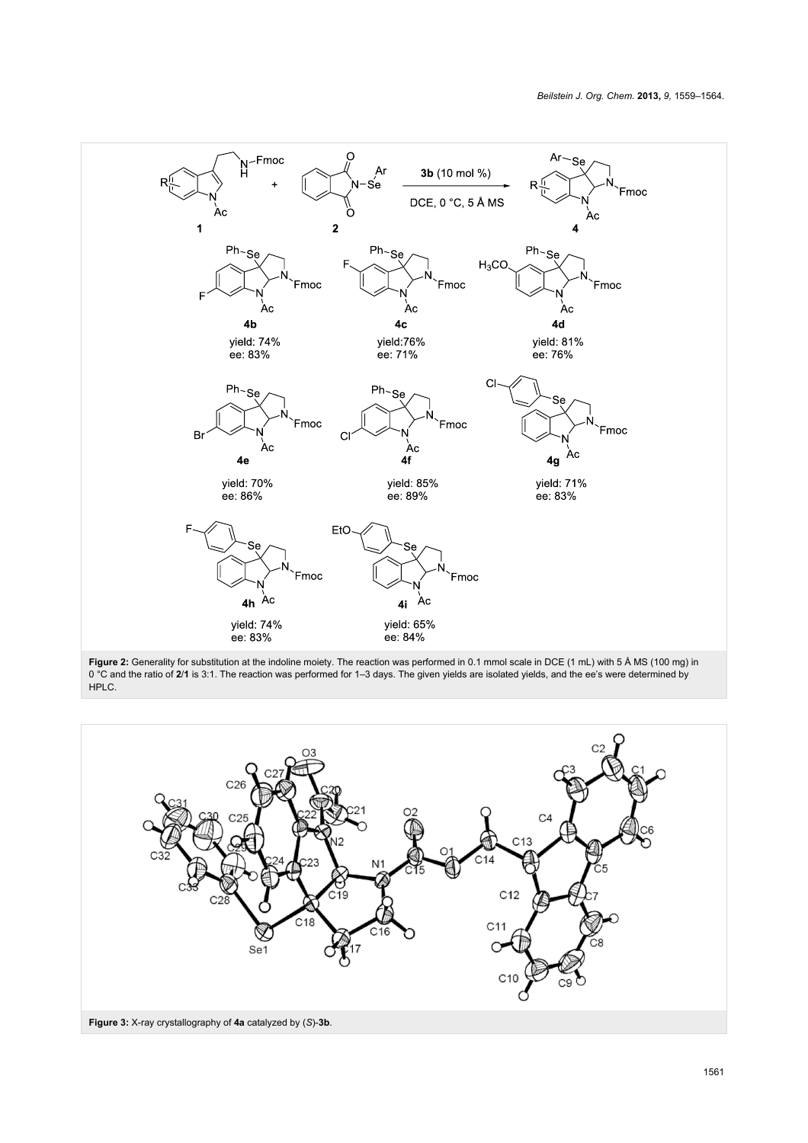<span id="page-2-0"></span>

<span id="page-2-1"></span>0 °C and the ratio of 2/1 is 3:1. The reaction was performed for 1–3 days. The given yields are isolated yields, and the ee's were determined by HPLC.

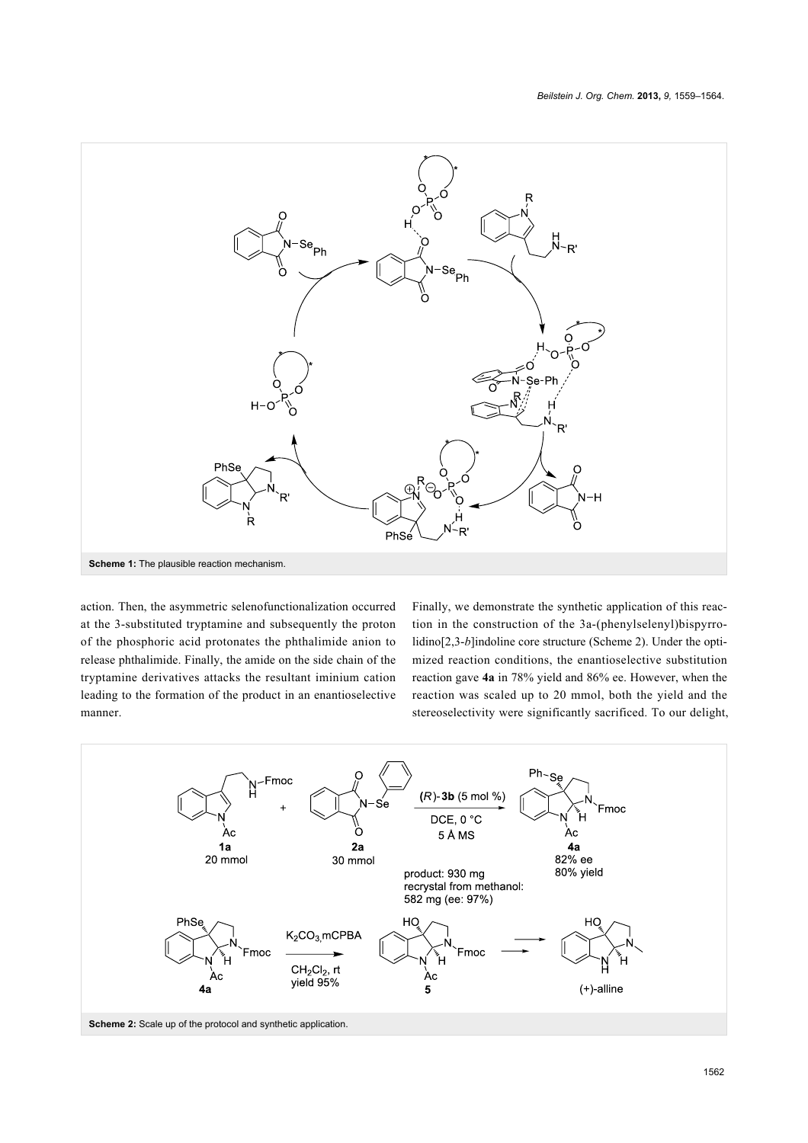<span id="page-3-0"></span>

action. Then, the asymmetric selenofunctionalization occurred at the 3-substituted tryptamine and subsequently the proton of the phosphoric acid protonates the phthalimide anion to release phthalimide. Finally, the amide on the side chain of the tryptamine derivatives attacks the resultant iminium cation leading to the formation of the product in an enantioselective manner.

Finally, we demonstrate the synthetic application of this reaction in the construction of the 3a-(phenylselenyl)bispyrrolidino<sup>[2,3-*b*]indoline core structure ([Scheme 2](#page-3-1)). Under the opti-</sup> mized reaction conditions, the enantioselective substitution reaction gave **4a** in 78% yield and 86% ee. However, when the reaction was scaled up to 20 mmol, both the yield and the stereoselectivity were significantly sacrificed. To our delight,

<span id="page-3-1"></span>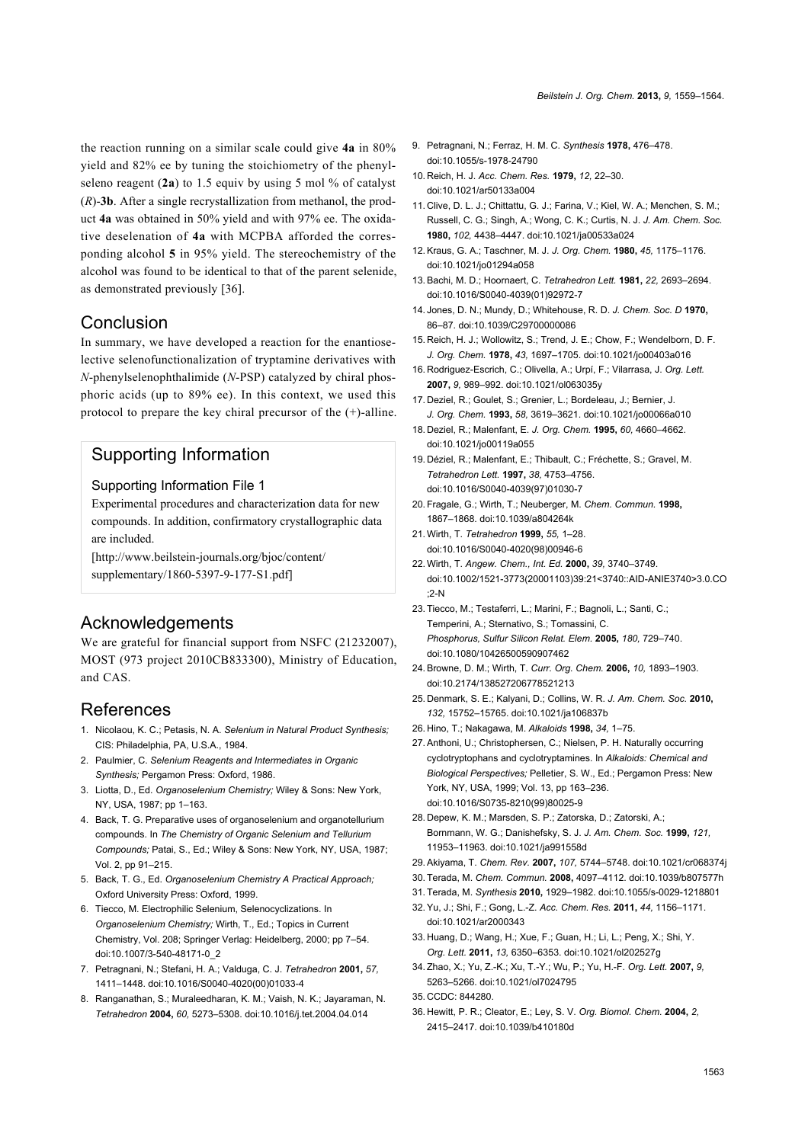the reaction running on a similar scale could give **4a** in 80% yield and 82% ee by tuning the stoichiometry of the phenylseleno reagent (**2a**) to 1.5 equiv by using 5 mol % of catalyst (*R*)-**3b**. After a single recrystallization from methanol, the product **4a** was obtained in 50% yield and with 97% ee. The oxidative deselenation of **4a** with MCPBA afforded the corresponding alcohol **5** in 95% yield. The stereochemistry of the alcohol was found to be identical to that of the parent selenide, as demonstrated previously [\[36\]](#page-4-12).

#### **Conclusion**

In summary, we have developed a reaction for the enantioselective selenofunctionalization of tryptamine derivatives with *N*-phenylselenophthalimide (*N*-PSP) catalyzed by chiral phosphoric acids (up to 89% ee). In this context, we used this protocol to prepare the key chiral precursor of the (+)-alline.

### Supporting Information

#### Supporting Information File 1

Experimental procedures and characterization data for new compounds. In addition, confirmatory crystallographic data are included.

[\[http://www.beilstein-journals.org/bjoc/content/](http://www.beilstein-journals.org/bjoc/content/supplementary/1860-5397-9-177-S1.pdf) [supplementary/1860-5397-9-177-S1.pdf\]](http://www.beilstein-journals.org/bjoc/content/supplementary/1860-5397-9-177-S1.pdf)

### Acknowledgements

We are grateful for financial support from NSFC (21232007), MOST (973 project 2010CB833300), Ministry of Education, and CAS.

### References

- <span id="page-4-0"></span>1. Nicolaou, K. C.; Petasis, N. A. *Selenium in Natural Product Synthesis;* CIS: Philadelphia, PA, U.S.A., 1984.
- 2. Paulmier, C. *Selenium Reagents and Intermediates in Organic Synthesis;* Pergamon Press: Oxford, 1986.
- 3. Liotta, D., Ed. *Organoselenium Chemistry;* Wiley & Sons: New York, NY, USA, 1987; pp 1–163.
- 4. Back, T. G. Preparative uses of organoselenium and organotellurium compounds. In *The Chemistry of Organic Selenium and Tellurium Compounds;* Patai, S., Ed.; Wiley & Sons: New York, NY, USA, 1987; Vol. 2, pp 91–215.
- 5. Back, T. G., Ed. *Organoselenium Chemistry A Practical Approach;* Oxford University Press: Oxford, 1999.
- 6. Tiecco, M. Electrophilic Selenium, Selenocyclizations. In *Organoselenium Chemistry;* Wirth, T., Ed.; Topics in Current Chemistry, Vol. 208; Springer Verlag: Heidelberg, 2000; pp 7–54. [doi:10.1007/3-540-48171-0\\_2](http://dx.doi.org/10.1007%2F3-540-48171-0_2)
- 7. Petragnani, N.; Stefani, H. A.; Valduga, C. J. *Tetrahedron* **2001,** *57,* 1411–1448. [doi:10.1016/S0040-4020\(00\)01033-4](http://dx.doi.org/10.1016%2FS0040-4020%2800%2901033-4)
- 8. Ranganathan, S.; Muraleedharan, K. M.; Vaish, N. K.; Jayaraman, N. *Tetrahedron* **2004,** *60,* 5273–5308. [doi:10.1016/j.tet.2004.04.014](http://dx.doi.org/10.1016%2Fj.tet.2004.04.014)
- <span id="page-4-1"></span>9. Petragnani, N.; Ferraz, H. M. C. *Synthesis* **1978,** 476–478. [doi:10.1055/s-1978-24790](http://dx.doi.org/10.1055%2Fs-1978-24790)
- 10. Reich, H. J. *Acc. Chem. Res.* **1979,** *12,* 22–30. [doi:10.1021/ar50133a004](http://dx.doi.org/10.1021%2Far50133a004)
- <span id="page-4-2"></span>11. Clive, D. L. J.; Chittattu, G. J.; Farina, V.; Kiel, W. A.; Menchen, S. M.; Russell, C. G.; Singh, A.; Wong, C. K.; Curtis, N. J. *J. Am. Chem. Soc.* **1980,** *102,* 4438–4447. [doi:10.1021/ja00533a024](http://dx.doi.org/10.1021%2Fja00533a024)
- 12.Kraus, G. A.; Taschner, M. J. *J. Org. Chem.* **1980,** *45,* 1175–1176. [doi:10.1021/jo01294a058](http://dx.doi.org/10.1021%2Fjo01294a058)
- 13.Bachi, M. D.; Hoornaert, C. *Tetrahedron Lett.* **1981,** *22,* 2693–2694. [doi:10.1016/S0040-4039\(01\)92972-7](http://dx.doi.org/10.1016%2FS0040-4039%2801%2992972-7)
- <span id="page-4-3"></span>14. Jones, D. N.; Mundy, D.; Whitehouse, R. D. *J. Chem. Soc. D* **1970,** 86–87. [doi:10.1039/C29700000086](http://dx.doi.org/10.1039%2FC29700000086)
- 15. Reich, H. J.; Wollowitz, S.; Trend, J. E.; Chow, F.; Wendelborn, D. F. *J. Org. Chem.* **1978,** *43,* 1697–1705. [doi:10.1021/jo00403a016](http://dx.doi.org/10.1021%2Fjo00403a016)
- <span id="page-4-4"></span>16. Rodriguez-Escrich, C.; Olivella, A.; Urpí, F.; Vilarrasa, J. *Org. Lett.* **2007,** *9,* 989–992. [doi:10.1021/ol063035y](http://dx.doi.org/10.1021%2Fol063035y)
- <span id="page-4-5"></span>17. Deziel, R.; Goulet, S.; Grenier, L.; Bordeleau, J.; Bernier, J. *J. Org. Chem.* **1993,** *58,* 3619–3621. [doi:10.1021/jo00066a010](http://dx.doi.org/10.1021%2Fjo00066a010)
- 18. Deziel, R.; Malenfant, E. *J. Org. Chem.* **1995,** *60,* 4660–4662. [doi:10.1021/jo00119a055](http://dx.doi.org/10.1021%2Fjo00119a055)
- 19. Déziel, R.; Malenfant, E.; Thibault, C.; Fréchette, S.; Gravel, M. *Tetrahedron Lett.* **1997,** *38,* 4753–4756. [doi:10.1016/S0040-4039\(97\)01030-7](http://dx.doi.org/10.1016%2FS0040-4039%2897%2901030-7)
- 20.Fragale, G.; Wirth, T.; Neuberger, M. *Chem. Commun.* **1998,** 1867–1868. [doi:10.1039/a804264k](http://dx.doi.org/10.1039%2Fa804264k)
- 21.Wirth, T. *Tetrahedron* **1999,** *55,* 1–28. [doi:10.1016/S0040-4020\(98\)00946-6](http://dx.doi.org/10.1016%2FS0040-4020%2898%2900946-6)
- 22.Wirth, T. *Angew. Chem., Int. Ed.* **2000,** *39,* 3740–3749. [doi:10.1002/1521-3773\(20001103\)39:21<3740::AID-ANIE3740>3.0.CO](http://dx.doi.org/10.1002%2F1521-3773%2820001103%2939%3A21%3C3740%3A%3AAID-ANIE3740%3E3.0.CO%3B2-N) [;2-N](http://dx.doi.org/10.1002%2F1521-3773%2820001103%2939%3A21%3C3740%3A%3AAID-ANIE3740%3E3.0.CO%3B2-N)
- 23.Tiecco, M.; Testaferri, L.; Marini, F.; Bagnoli, L.; Santi, C.; Temperini, A.; Sternativo, S.; Tomassini, C. *Phosphorus, Sulfur Silicon Relat. Elem.* **2005,** *180,* 729–740. [doi:10.1080/10426500590907462](http://dx.doi.org/10.1080%2F10426500590907462)
- 24.Browne, D. M.; Wirth, T. *Curr. Org. Chem.* **2006,** *10,* 1893–1903. [doi:10.2174/138527206778521213](http://dx.doi.org/10.2174%2F138527206778521213)
- <span id="page-4-6"></span>25. Denmark, S. E.; Kalyani, D.; Collins, W. R. *J. Am. Chem. Soc.* **2010,** *132,* 15752–15765. [doi:10.1021/ja106837b](http://dx.doi.org/10.1021%2Fja106837b)
- <span id="page-4-7"></span>26. Hino, T.; Nakagawa, M. *Alkaloids* **1998,** *34,* 1–75.
- 27.Anthoni, U.; Christophersen, C.; Nielsen, P. H. Naturally occurring cyclotryptophans and cyclotryptamines. In *Alkaloids: Chemical and Biological Perspectives;* Pelletier, S. W., Ed.; Pergamon Press: New York, NY, USA, 1999; Vol. 13, pp 163–236. [doi:10.1016/S0735-8210\(99\)80025-9](http://dx.doi.org/10.1016%2FS0735-8210%2899%2980025-9)
- <span id="page-4-8"></span>28. Depew, K. M.; Marsden, S. P.; Zatorska, D.; Zatorski, A.; Bornmann, W. G.; Danishefsky, S. J. *J. Am. Chem. Soc.* **1999,** *121,* 11953–11963. [doi:10.1021/ja991558d](http://dx.doi.org/10.1021%2Fja991558d)
- <span id="page-4-9"></span>29.Akiyama, T. *Chem. Rev.* **2007,** *107,* 5744–5748. [doi:10.1021/cr068374j](http://dx.doi.org/10.1021%2Fcr068374j)
- 30.Terada, M. *Chem. Commun.* **2008,** 4097–4112. [doi:10.1039/b807577h](http://dx.doi.org/10.1039%2Fb807577h)
- 31.Terada, M. *Synthesis* **2010,** 1929–1982. [doi:10.1055/s-0029-1218801](http://dx.doi.org/10.1055%2Fs-0029-1218801)
- 32.Yu, J.; Shi, F.; Gong, L.-Z. *Acc. Chem. Res.* **2011,** *44,* 1156–1171. [doi:10.1021/ar2000343](http://dx.doi.org/10.1021%2Far2000343)
- 33. Huang, D.; Wang, H.; Xue, F.; Guan, H.; Li, L.; Peng, X.; Shi, Y. *Org. Lett.* **2011,** *13,* 6350–6353. [doi:10.1021/ol202527g](http://dx.doi.org/10.1021%2Fol202527g)
- <span id="page-4-10"></span>34.Zhao, X.; Yu, Z.-K.; Xu, T.-Y.; Wu, P.; Yu, H.-F. *Org. Lett.* **2007,** *9,* 5263–5266. [doi:10.1021/ol7024795](http://dx.doi.org/10.1021%2Fol7024795)
- <span id="page-4-11"></span>35. CCDC: 844280.
- <span id="page-4-12"></span>36. Hewitt, P. R.; Cleator, E.; Ley, S. V. *Org. Biomol. Chem.* **2004,** *2,* 2415–2417. [doi:10.1039/b410180d](http://dx.doi.org/10.1039%2Fb410180d)